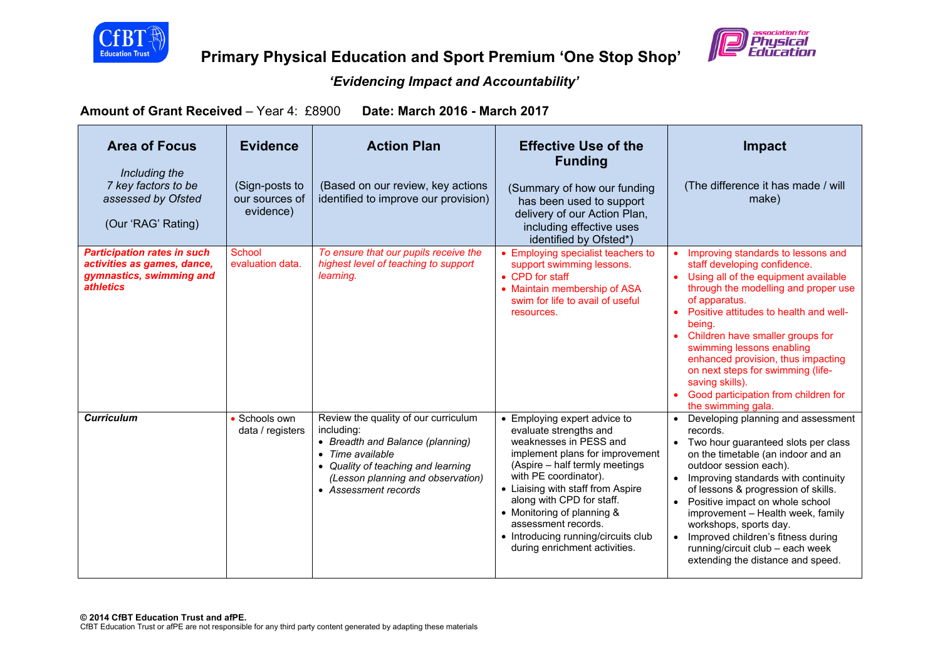



**Primary Physical Education and Sport Premium 'One Stop Shop'** 

## *'Evidencing Impact and Accountability'*

**Amount of Grant Received** – Year 4: £8900 **Date: March 2016 - March 2017** 

| <b>Area of Focus</b><br>Including the<br>7 key factors to be<br>assessed by Ofsted<br>(Our 'RAG' Rating)          | <b>Evidence</b><br>(Sign-posts to<br>our sources of<br>evidence) | <b>Action Plan</b><br>(Based on our review, key actions<br>identified to improve our provision)                                                                                                               | <b>Effective Use of the</b><br><b>Funding</b><br>(Summary of how our funding<br>has been used to support<br>delivery of our Action Plan,<br>including effective uses<br>identified by Ofsted*)                                                                                                                                                                                | <b>Impact</b><br>(The difference it has made / will<br>make)                                                                                                                                                                                                                                                                                                                                                                                               |
|-------------------------------------------------------------------------------------------------------------------|------------------------------------------------------------------|---------------------------------------------------------------------------------------------------------------------------------------------------------------------------------------------------------------|-------------------------------------------------------------------------------------------------------------------------------------------------------------------------------------------------------------------------------------------------------------------------------------------------------------------------------------------------------------------------------|------------------------------------------------------------------------------------------------------------------------------------------------------------------------------------------------------------------------------------------------------------------------------------------------------------------------------------------------------------------------------------------------------------------------------------------------------------|
| <b>Participation rates in such</b><br>activities as games, dance,<br>gymnastics, swimming and<br><i>athletics</i> | School<br>evaluation data.                                       | To ensure that our pupils receive the<br>highest level of teaching to support<br>learning.                                                                                                                    | • Employing specialist teachers to<br>support swimming lessons.<br>• CPD for staff<br>• Maintain membership of ASA<br>swim for life to avail of useful<br>resources.                                                                                                                                                                                                          | Improving standards to lessons and<br>staff developing confidence.<br>Using all of the equipment available<br>through the modelling and proper use<br>of apparatus.<br>Positive attitudes to health and well-<br>being.<br>Children have smaller groups for<br>swimming lessons enabling<br>enhanced provision, thus impacting<br>on next steps for swimming (life-<br>saving skills).<br>Good participation from children for<br>the swimming gala.       |
| <b>Curriculum</b>                                                                                                 | • Schools own<br>data / registers                                | Review the quality of our curriculum<br>including:<br>• Breadth and Balance (planning)<br>• Time available<br>• Quality of teaching and learning<br>(Lesson planning and observation)<br>• Assessment records | • Employing expert advice to<br>evaluate strengths and<br>weaknesses in PESS and<br>implement plans for improvement<br>(Aspire - half termly meetings<br>with PE coordinator).<br>• Liaising with staff from Aspire<br>along with CPD for staff.<br>• Monitoring of planning &<br>assessment records.<br>• Introducing running/circuits club<br>during enrichment activities. | • Developing planning and assessment<br>records.<br>• Two hour guaranteed slots per class<br>on the timetable (an indoor and an<br>outdoor session each).<br>Improving standards with continuity<br>of lessons & progression of skills.<br>• Positive impact on whole school<br>improvement - Health week, family<br>workshops, sports day.<br>Improved children's fitness during<br>running/circuit club - each week<br>extending the distance and speed. |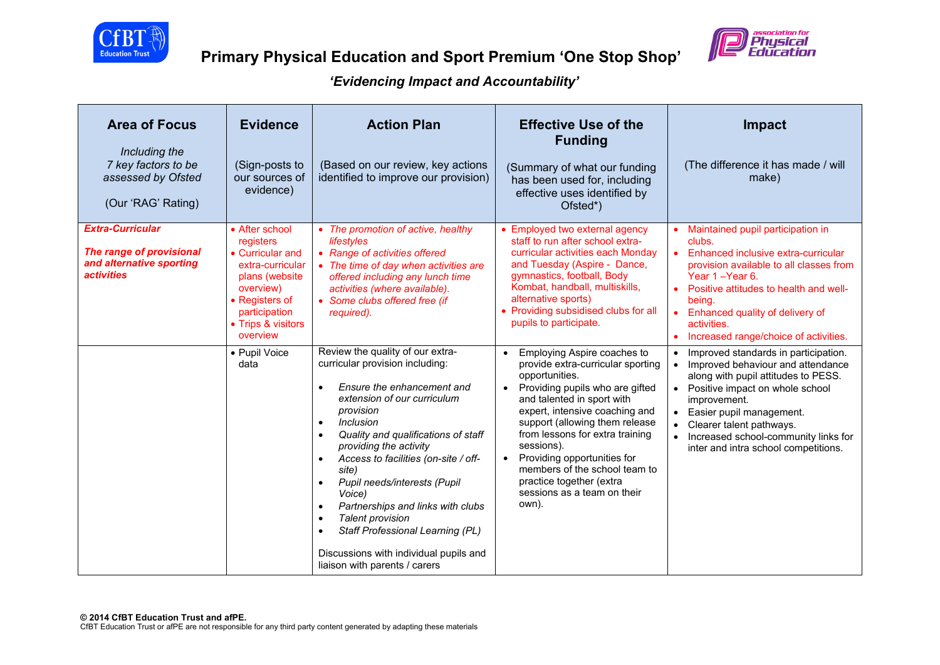



| <b>Area of Focus</b><br>Including the<br>7 key factors to be<br>assessed by Ofsted<br>(Our 'RAG' Rating)    | <b>Evidence</b><br>(Sign-posts to<br>our sources of<br>evidence)                                                                                                                          | <b>Action Plan</b><br>(Based on our review, key actions<br>identified to improve our provision)                                                                                                                                                                                                                                                                                                                                                                                                                                           | <b>Effective Use of the</b><br><b>Funding</b><br>(Summary of what our funding<br>has been used for, including<br>effective uses identified by<br>Ofsted*)                                                                                                                                                                                                                                  | Impact<br>(The difference it has made / will<br>make)                                                                                                                                                                                                                                                                                      |
|-------------------------------------------------------------------------------------------------------------|-------------------------------------------------------------------------------------------------------------------------------------------------------------------------------------------|-------------------------------------------------------------------------------------------------------------------------------------------------------------------------------------------------------------------------------------------------------------------------------------------------------------------------------------------------------------------------------------------------------------------------------------------------------------------------------------------------------------------------------------------|--------------------------------------------------------------------------------------------------------------------------------------------------------------------------------------------------------------------------------------------------------------------------------------------------------------------------------------------------------------------------------------------|--------------------------------------------------------------------------------------------------------------------------------------------------------------------------------------------------------------------------------------------------------------------------------------------------------------------------------------------|
| <b>Extra-Curricular</b><br>The range of provisional<br>and alternative sporting<br><i><b>activities</b></i> | • After school<br>registers<br>• Curricular and<br>extra-curricular<br>plans (website)<br>overview)<br>• Registers of<br>participation<br>• Trips & visitors<br>overview<br>• Pupil Voice | • The promotion of active, healthy<br>lifestyles<br>• Range of activities offered<br>• The time of day when activities are<br>offered including any lunch time<br>activities (where available).<br>• Some clubs offered free (if<br>required).<br>Review the quality of our extra-                                                                                                                                                                                                                                                        | • Employed two external agency<br>staff to run after school extra-<br>curricular activities each Mondav<br>and Tuesday (Aspire - Dance,<br>gymnastics, football, Body<br>Kombat, handball, multiskills,<br>alternative sports)<br>• Providing subsidised clubs for all<br>pupils to participate.<br>Employing Aspire coaches to                                                            | • Maintained pupil participation in<br>clubs.<br>• Enhanced inclusive extra-curricular<br>provision available to all classes from<br>Year 1-Year 6.<br>Positive attitudes to health and well-<br>being.<br>Enhanced quality of delivery of<br>activities.<br>Increased range/choice of activities.<br>Improved standards in participation. |
|                                                                                                             | data                                                                                                                                                                                      | curricular provision including:<br>Ensure the enhancement and<br>$\bullet$<br>extension of our curriculum<br>provision<br><i>Inclusion</i><br>$\bullet$<br>Quality and qualifications of staff<br>providing the activity<br>Access to facilities (on-site / off-<br>site)<br>Pupil needs/interests (Pupil<br>$\bullet$<br>Voice)<br>Partnerships and links with clubs<br>$\bullet$<br><b>Talent provision</b><br>$\bullet$<br>Staff Professional Learning (PL)<br>Discussions with individual pupils and<br>liaison with parents / carers | provide extra-curricular sporting<br>opportunities.<br>Providing pupils who are gifted<br>$\bullet$<br>and talented in sport with<br>expert, intensive coaching and<br>support (allowing them release<br>from lessons for extra training<br>sessions).<br>Providing opportunities for<br>members of the school team to<br>practice together (extra<br>sessions as a team on their<br>own). | Improved behaviour and attendance<br>$\bullet$<br>along with pupil attitudes to PESS.<br>• Positive impact on whole school<br>improvement.<br>• Easier pupil management.<br>Clearer talent pathways.<br>Increased school-community links for<br>inter and intra school competitions.                                                       |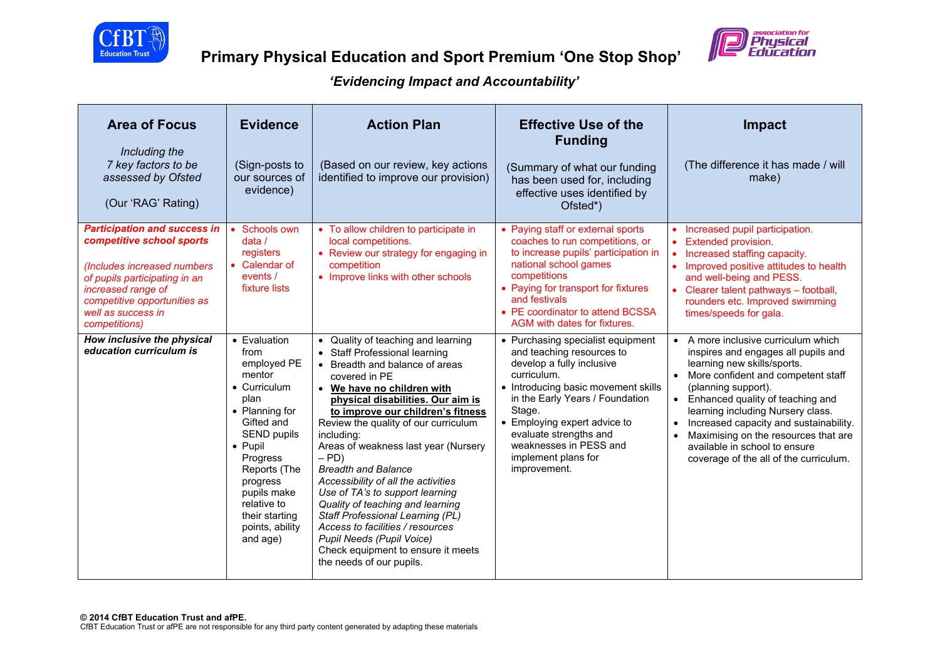



| <b>Area of Focus</b><br>Including the<br>7 key factors to be<br>assessed by Ofsted<br>(Our 'RAG' Rating)                                                                                                                      | <b>Evidence</b><br>(Sign-posts to<br>our sources of<br>evidence)                                                                                                                                                                                                      | <b>Action Plan</b><br>(Based on our review, key actions<br>identified to improve our provision)                                                                                                                                                                                                                                                                                                                                                                                                                                                                                                                                                            | <b>Effective Use of the</b><br><b>Funding</b><br>(Summary of what our funding<br>has been used for, including<br>effective uses identified by<br>Ofsted*)                                                                                                                                                                 | <b>Impact</b><br>(The difference it has made / will<br>make)                                                                                                                                                                                                                                                                                                                                                   |
|-------------------------------------------------------------------------------------------------------------------------------------------------------------------------------------------------------------------------------|-----------------------------------------------------------------------------------------------------------------------------------------------------------------------------------------------------------------------------------------------------------------------|------------------------------------------------------------------------------------------------------------------------------------------------------------------------------------------------------------------------------------------------------------------------------------------------------------------------------------------------------------------------------------------------------------------------------------------------------------------------------------------------------------------------------------------------------------------------------------------------------------------------------------------------------------|---------------------------------------------------------------------------------------------------------------------------------------------------------------------------------------------------------------------------------------------------------------------------------------------------------------------------|----------------------------------------------------------------------------------------------------------------------------------------------------------------------------------------------------------------------------------------------------------------------------------------------------------------------------------------------------------------------------------------------------------------|
| <b>Participation and success in</b><br>competitive school sports<br>(Includes increased numbers<br>of pupils participating in an<br>increased range of<br>competitive opportunities as<br>well as success in<br>competitions) | Schools own<br>data/<br>registers<br>• Calendar of<br>events /<br>fixture lists                                                                                                                                                                                       | • To allow children to participate in<br>local competitions.<br>• Review our strategy for engaging in<br>competition<br>• Improve links with other schools                                                                                                                                                                                                                                                                                                                                                                                                                                                                                                 | • Paying staff or external sports<br>coaches to run competitions, or<br>to increase pupils' participation in<br>national school games<br>competitions<br>• Paying for transport for fixtures<br>and festivals<br>• PE coordinator to attend BCSSA<br>AGM with dates for fixtures.                                         | • Increased pupil participation.<br>Extended provision.<br>• Increased staffing capacity.<br>• Improved positive attitudes to health<br>and well-being and PESS.<br>• Clearer talent pathways - football,<br>rounders etc. Improved swimming<br>times/speeds for gala.                                                                                                                                         |
| How inclusive the physical<br>education curriculum is                                                                                                                                                                         | • Evaluation<br>from<br>employed PE<br>mentor<br>• Curriculum<br>plan<br>• Planning for<br>Gifted and<br><b>SEND pupils</b><br>$\bullet$ Pupil<br>Progress<br>Reports (The<br>progress<br>pupils make<br>relative to<br>their starting<br>points, ability<br>and age) | • Quality of teaching and learning<br>• Staff Professional learning<br>• Breadth and balance of areas<br>covered in PE<br>• We have no children with<br>physical disabilities. Our aim is<br>to improve our children's fitness<br>Review the quality of our curriculum<br>including:<br>Areas of weakness last year (Nursery<br>$-$ PD)<br><b>Breadth and Balance</b><br>Accessibility of all the activities<br>Use of TA's to support learning<br>Quality of teaching and learning<br>Staff Professional Learning (PL)<br>Access to facilities / resources<br>Pupil Needs (Pupil Voice)<br>Check equipment to ensure it meets<br>the needs of our pupils. | • Purchasing specialist equipment<br>and teaching resources to<br>develop a fully inclusive<br>curriculum.<br>• Introducing basic movement skills<br>in the Early Years / Foundation<br>Stage.<br>• Employing expert advice to<br>evaluate strengths and<br>weaknesses in PESS and<br>implement plans for<br>improvement. | • A more inclusive curriculum which<br>inspires and engages all pupils and<br>learning new skills/sports.<br>• More confident and competent staff<br>(planning support).<br>Enhanced quality of teaching and<br>learning including Nursery class.<br>Increased capacity and sustainability.<br>Maximising on the resources that are<br>available in school to ensure<br>coverage of the all of the curriculum. |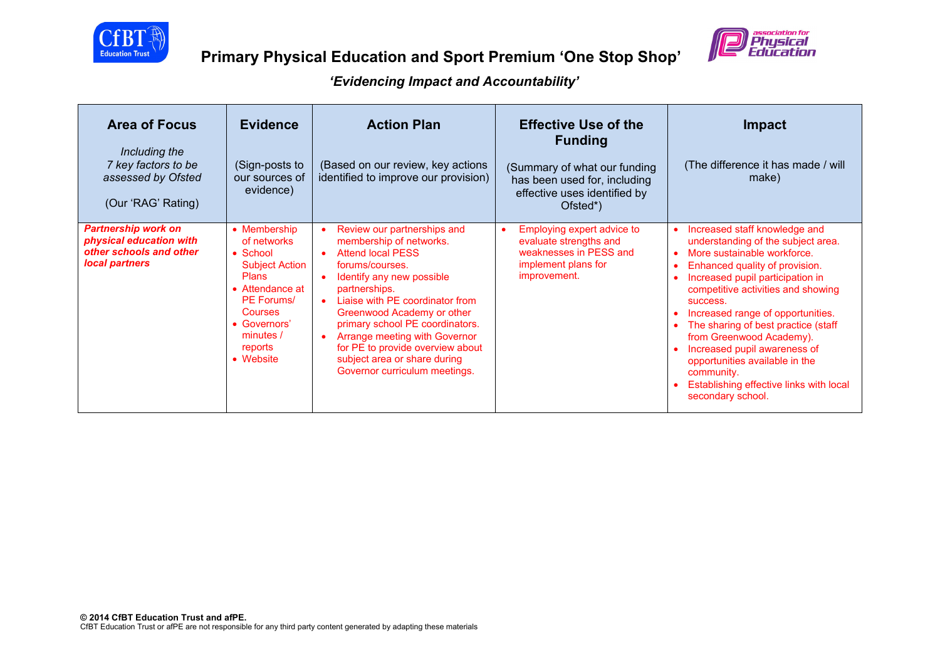



| <b>Area of Focus</b><br>Including the<br>7 key factors to be<br>assessed by Ofsted<br>(Our 'RAG' Rating) | <b>Evidence</b><br>(Sign-posts to<br>our sources of<br>evidence)                                                                                                                                 | <b>Action Plan</b><br>(Based on our review, key actions<br>identified to improve our provision)                                                                                                                                                                                                                                                                                                                                      | <b>Effective Use of the</b><br><b>Funding</b><br>(Summary of what our funding<br>has been used for, including<br>effective uses identified by<br>Ofsted*) | Impact<br>(The difference it has made / will<br>make)                                                                                                                                                                                                                                                                                                                                                                                                                              |
|----------------------------------------------------------------------------------------------------------|--------------------------------------------------------------------------------------------------------------------------------------------------------------------------------------------------|--------------------------------------------------------------------------------------------------------------------------------------------------------------------------------------------------------------------------------------------------------------------------------------------------------------------------------------------------------------------------------------------------------------------------------------|-----------------------------------------------------------------------------------------------------------------------------------------------------------|------------------------------------------------------------------------------------------------------------------------------------------------------------------------------------------------------------------------------------------------------------------------------------------------------------------------------------------------------------------------------------------------------------------------------------------------------------------------------------|
| <b>Partnership work on</b><br>physical education with<br>other schools and other<br>local partners       | • Membership<br>of networks<br>$\bullet$ School<br><b>Subject Action</b><br><b>Plans</b><br>• Attendance at<br>PF Forums/<br><b>Courses</b><br>• Governors'<br>minutes /<br>reports<br>• Website | Review our partnerships and<br>$\bullet$<br>membership of networks.<br><b>Attend local PESS</b><br>$\bullet$<br>forums/courses.<br>Identify any new possible<br>partnerships.<br>Liaise with PF coordinator from<br>Greenwood Academy or other<br>primary school PE coordinators.<br>Arrange meeting with Governor<br>$\bullet$<br>for PE to provide overview about<br>subject area or share during<br>Governor curriculum meetings. | Employing expert advice to<br>$\bullet$<br>evaluate strengths and<br>weaknesses in PESS and<br>implement plans for<br>improvement.                        | Increased staff knowledge and<br>understanding of the subject area.<br>More sustainable workforce.<br>Enhanced quality of provision.<br>Increased pupil participation in<br>competitive activities and showing<br>SUCCeSS.<br>Increased range of opportunities.<br>The sharing of best practice (staff<br>from Greenwood Academy).<br>Increased pupil awareness of<br>opportunities available in the<br>community.<br>Establishing effective links with local<br>secondary school. |